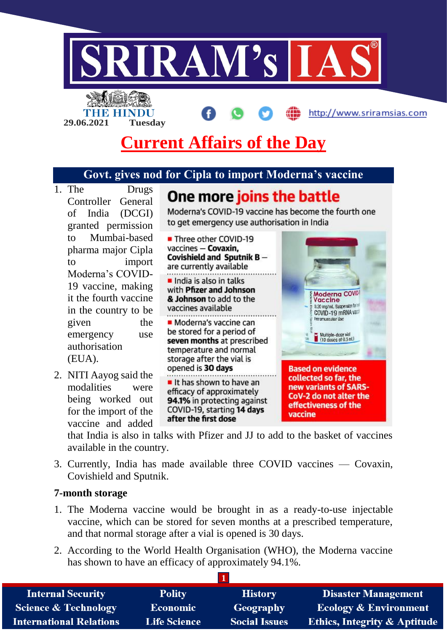

## **Govt. gives nod for Cipla to import Moderna's vaccine**

1. The Drugs One more joins the battle Controller General Moderna's COVID-19 vaccine has become the fourth one of India (DCGI) to get emergency use authorisation in India granted permission to Mumbai-based ■ Three other COVID-19 vaccines - Covaxin. pharma major Cipla Covishield and Sputnik Bto import are currently available Moderna's COVID-India is also in talks 19 vaccine, making with Pfizer and Johnson Moderna COVI it the fourth vaccine & Johnson to add to the Vaccine 0.20 mg/mL Suspersion fairly vaccines available in the country to be COVID-19 mRNA vari Internacionale Illet given the Moderna's vaccine can be stored for a period of emergency use Multiple-dose vial<br>(10 doses of 0.5 mL) seven months at prescribed authorisation temperature and normal (EUA). storage after the vial is opened is 30 days **Based on evidence** 2. NITI Aayog said the collected so far, the It has shown to have an modalities were new variants of SARSefficacy of approximately CoV-2 do not alter the being worked out 94.1% in protecting against effectiveness of the COVID-19, starting 14 days

that India is also in talks with Pfizer and JJ to add to the basket of vaccines available in the country.

vaccine

3. Currently, India has made available three COVID vaccines — Covaxin, Covishield and Sputnik.

after the first dose

#### **7-month storage**

for the import of the vaccine and added

- 1. The Moderna vaccine would be brought in as a ready-to-use injectable vaccine, which can be stored for seven months at a prescribed temperature, and that normal storage after a vial is opened is 30 days.
- 2. According to the World Health Organisation (WHO), the Moderna vaccine has shown to have an efficacy of approximately 94.1%.

| <b>Internal Security</b>        | <b>Polity</b>       | <b>History</b>       | <b>Disaster Management</b>              |
|---------------------------------|---------------------|----------------------|-----------------------------------------|
| <b>Science &amp; Technology</b> | <b>Economic</b>     | Geography            | <b>Ecology &amp; Environment</b>        |
| <b>International Relations</b>  | <b>Life Science</b> | <b>Social Issues</b> | <b>Ethics, Integrity &amp; Aptitude</b> |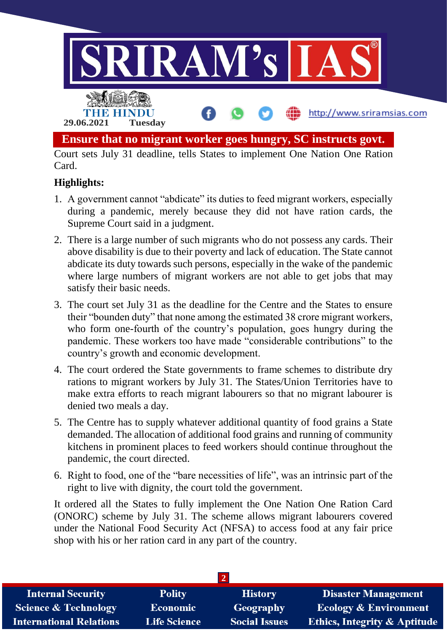

# **Highlights:**

- 1. A government cannot "abdicate" its duties to feed migrant workers, especially during a pandemic, merely because they did not have ration cards, the Supreme Court said in a judgment.
- 2. There is a large number of such migrants who do not possess any cards. Their above disability is due to their poverty and lack of education. The State cannot abdicate its duty towards such persons, especially in the wake of the pandemic where large numbers of migrant workers are not able to get jobs that may satisfy their basic needs.
- 3. The court set July 31 as the deadline for the Centre and the States to ensure their "bounden duty" that none among the estimated 38 crore migrant workers, who form one-fourth of the country's population, goes hungry during the pandemic. These workers too have made "considerable contributions" to the country's growth and economic development.
- 4. The court ordered the State governments to frame schemes to distribute dry rations to migrant workers by July 31. The States/Union Territories have to make extra efforts to reach migrant labourers so that no migrant labourer is denied two meals a day.
- 5. The Centre has to supply whatever additional quantity of food grains a State demanded. The allocation of additional food grains and running of community kitchens in prominent places to feed workers should continue throughout the pandemic, the court directed.
- 6. Right to food, one of the "bare necessities of life", was an intrinsic part of the right to live with dignity, the court told the government.

It ordered all the States to fully implement the One Nation One Ration Card (ONORC) scheme by July 31. The scheme allows migrant labourers covered under the National Food Security Act (NFSA) to access food at any fair price shop with his or her ration card in any part of the country.

| <b>Internal Security</b>        | <b>Polity</b>       | <b>History</b>       | <b>Disaster Management</b>              |
|---------------------------------|---------------------|----------------------|-----------------------------------------|
| <b>Science &amp; Technology</b> | <b>Economic</b>     | Geography            | <b>Ecology &amp; Environment</b>        |
| <b>International Relations</b>  | <b>Life Science</b> | <b>Social Issues</b> | <b>Ethics, Integrity &amp; Aptitude</b> |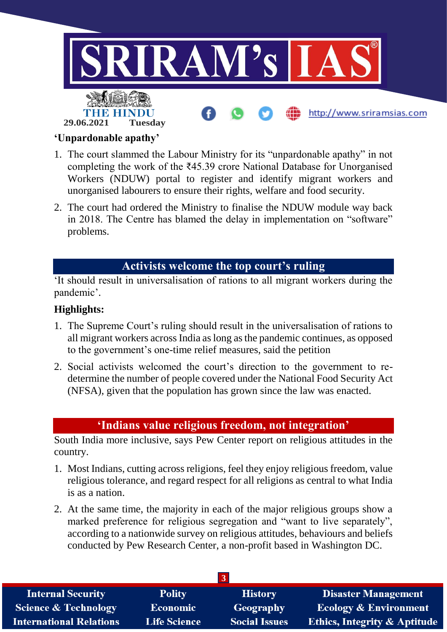

### **'Unpardonable apathy'**

- 1. The court slammed the Labour Ministry for its "unpardonable apathy" in not completing the work of the ₹45.39 crore National Database for Unorganised Workers (NDUW) portal to register and identify migrant workers and unorganised labourers to ensure their rights, welfare and food security.
- 2. The court had ordered the Ministry to finalise the NDUW module way back in 2018. The Centre has blamed the delay in implementation on "software" problems.

## **Activists welcome the top court's ruling**

'It should result in universalisation of rations to all migrant workers during the pandemic'.

### **Highlights:**

- 1. The Supreme Court's ruling should result in the universalisation of rations to all migrant workers across India as long as the pandemic continues, as opposed to the government's one-time relief measures, said the petition
- 2. Social activists welcomed the court's direction to the government to redetermine the number of people covered under the National Food Security Act (NFSA), given that the population has grown since the law was enacted.

### **'Indians value religious freedom, not integration'**

South India more inclusive, says Pew Center report on religious attitudes in the country.

- 1. Most Indians, cutting across religions, feel they enjoy religious freedom, value religious tolerance, and regard respect for all religions as central to what India is as a nation.
- 2. At the same time, the majority in each of the major religious groups show a marked preference for religious segregation and "want to live separately", according to a nationwide survey on religious attitudes, behaviours and beliefs conducted by Pew Research Center, a non-profit based in Washington DC.

| <b>Internal Security</b>        | <b>Polity</b>       | <b>History</b>       | <b>Disaster Management</b>              |
|---------------------------------|---------------------|----------------------|-----------------------------------------|
| <b>Science &amp; Technology</b> | <b>Economic</b>     | Geography            | <b>Ecology &amp; Environment</b>        |
| <b>International Relations</b>  | <b>Life Science</b> | <b>Social Issues</b> | <b>Ethics, Integrity &amp; Aptitude</b> |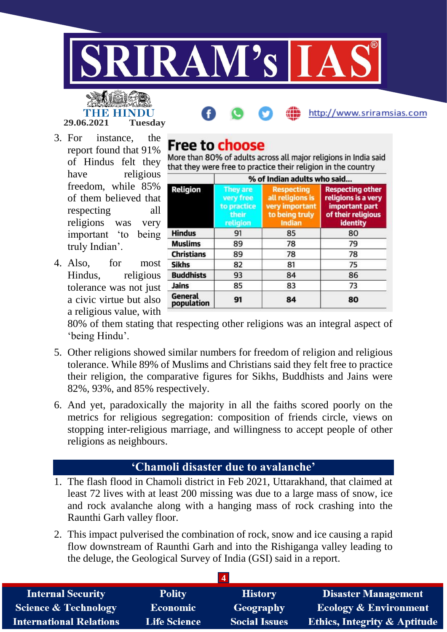

# http://www.sriramsias.com

3. For instance, the report found that 91% of Hindus felt they have religious freedom, while 85% of them believed that

**29.06.2021 Tuesday**

THE HIN

respecting all religions was very important 'to being truly Indian'.

4. Also, for most Hindus, religious tolerance was not just a civic virtue but also a religious value, with

# **Free to choose**

More than 80% of adults across all major religions in India said that they were free to practice their religion in the country

| <b>Religion</b>       | % of Indian adults who said                                      |                                                                                     |                                                                                                           |  |
|-----------------------|------------------------------------------------------------------|-------------------------------------------------------------------------------------|-----------------------------------------------------------------------------------------------------------|--|
|                       | <b>They are</b><br>very free<br>to practice<br>their<br>religion | <b>Respecting</b><br>all religions is<br>very important<br>to being truly<br>Indian | <b>Respecting other</b><br>religions is a very<br>important part<br>of their religious<br><b>identity</b> |  |
| <b>Hindus</b>         | 91                                                               | 85                                                                                  | 80                                                                                                        |  |
| <b>Muslims</b>        | 89                                                               | 78                                                                                  | 79                                                                                                        |  |
| <b>Christians</b>     | 89                                                               | 78                                                                                  | 78                                                                                                        |  |
| <b>Sikhs</b>          | 82                                                               | 81                                                                                  | 75                                                                                                        |  |
| <b>Buddhists</b>      | 93                                                               | 84                                                                                  | 86                                                                                                        |  |
| Jains                 | 85                                                               | 83                                                                                  | 73                                                                                                        |  |
| General<br>population | 91                                                               | 84                                                                                  | 80                                                                                                        |  |

80% of them stating that respecting other religions was an integral aspect of 'being Hindu'.

- 5. Other religions showed similar numbers for freedom of religion and religious tolerance. While 89% of Muslims and Christians said they felt free to practice their religion, the comparative figures for Sikhs, Buddhists and Jains were 82%, 93%, and 85% respectively.
- 6. And yet, paradoxically the majority in all the faiths scored poorly on the metrics for religious segregation: composition of friends circle, views on stopping inter-religious marriage, and willingness to accept people of other religions as neighbours.

# **'Chamoli disaster due to avalanche'**

- 1. The flash flood in Chamoli district in Feb 2021, Uttarakhand, that claimed at least 72 lives with at least 200 missing was due to a large mass of snow, ice and rock avalanche along with a hanging mass of rock crashing into the Raunthi Garh valley floor.
- 2. This impact pulverised the combination of rock, snow and ice causing a rapid flow downstream of Raunthi Garh and into the Rishiganga valley leading to the deluge, the Geological Survey of India (GSI) said in a report.

| <b>Internal Security</b>        | <b>Polity</b>       | <b>History</b>       | <b>Disaster Management</b>              |
|---------------------------------|---------------------|----------------------|-----------------------------------------|
| <b>Science &amp; Technology</b> | <b>Economic</b>     | Geography            | <b>Ecology &amp; Environment</b>        |
| <b>International Relations</b>  | <b>Life Science</b> | <b>Social Issues</b> | <b>Ethics, Integrity &amp; Aptitude</b> |